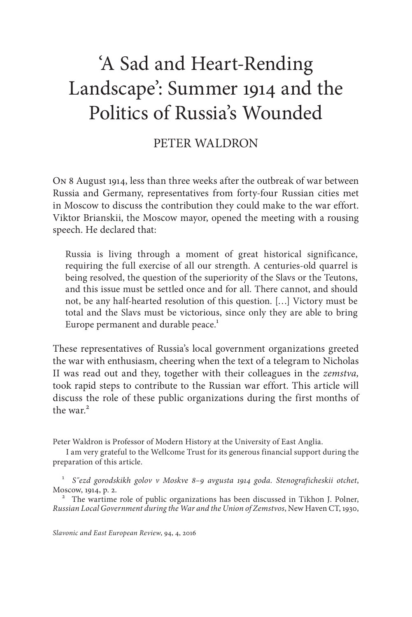# 'A Sad and Heart-Rending Landscape': Summer 1914 and the Politics of Russia's Wounded

## PETER WALDRON

On 8 August 1914, less than three weeks after the outbreak of war between Russia and Germany, representatives from forty-four Russian cities met in Moscow to discuss the contribution they could make to the war effort. Viktor Brianskii, the Moscow mayor, opened the meeting with a rousing speech. He declared that:

Russia is living through a moment of great historical significance, requiring the full exercise of all our strength. A centuries-old quarrel is being resolved, the question of the superiority of the Slavs or the Teutons, and this issue must be settled once and for all. There cannot, and should not, be any half-hearted resolution of this question. […] Victory must be total and the Slavs must be victorious, since only they are able to bring Europe permanent and durable peace.<sup>1</sup>

These representatives of Russia's local government organizations greeted the war with enthusiasm, cheering when the text of a telegram to Nicholas II was read out and they, together with their colleagues in the *zemstva,* took rapid steps to contribute to the Russian war effort. This article will discuss the role of these public organizations during the first months of the war $^2$ 

Peter Waldron is Professor of Modern History at the University of East Anglia.

I am very grateful to the Wellcome Trust for its generous financial support during the preparation of this article.

<sup>1</sup> *S˝ezd gorodskikh golov v Moskve 8–9 avgusta 1914 goda. Stenograficheskii otchet*, Moscow, 1914, p. 2. <sup>2</sup> The wartime role of public organizations has been discussed in Tikhon J. Polner,

*Russian Local Government during the War and the Union of Zemstvos*, New Haven CT, 1930,

*Slavonic and East European Review*, 94, 4, 2016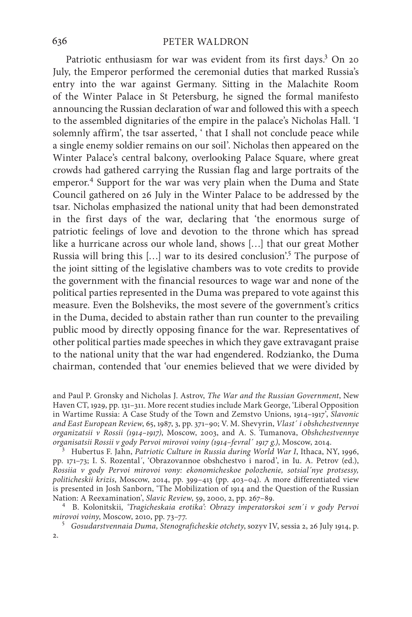Patriotic enthusiasm for war was evident from its first days.<sup>3</sup> On 20 July, the Emperor performed the ceremonial duties that marked Russia's entry into the war against Germany. Sitting in the Malachite Room of the Winter Palace in St Petersburg, he signed the formal manifesto announcing the Russian declaration of war and followed this with a speech to the assembled dignitaries of the empire in the palace's Nicholas Hall. 'I solemnly affirm', the tsar asserted, ' that I shall not conclude peace while a single enemy soldier remains on our soil'. Nicholas then appeared on the Winter Palace's central balcony, overlooking Palace Square, where great crowds had gathered carrying the Russian flag and large portraits of the emperor.<sup>4</sup> Support for the war was very plain when the Duma and State Council gathered on 26 July in the Winter Palace to be addressed by the tsar. Nicholas emphasized the national unity that had been demonstrated in the first days of the war, declaring that 'the enormous surge of patriotic feelings of love and devotion to the throne which has spread like a hurricane across our whole land, shows […] that our great Mother Russia will bring this [...] war to its desired conclusion'.<sup>5</sup> The purpose of the joint sitting of the legislative chambers was to vote credits to provide the government with the financial resources to wage war and none of the political parties represented in the Duma was prepared to vote against this measure. Even the Bolsheviks, the most severe of the government's critics in the Duma, decided to abstain rather than run counter to the prevailing public mood by directly opposing finance for the war. Representatives of other political parties made speeches in which they gave extravagant praise to the national unity that the war had engendered. Rodzianko, the Duma chairman, contended that 'our enemies believed that we were divided by

<sup>3</sup> Hubertus F. Jahn, *Patriotic Culture in Russia during World War I*, Ithaca, NY, 1996, pp. 171–73; I. S. Rozental´, 'Obrazovannoe obshchestvo i narod', in Iu. A. Petrov (ed.), *Rossiia v gody Pervoi mirovoi vony: ekonomicheskoe polozhenie, sotsial´nye protsessy, politicheskii krizis*, Moscow, 2014, pp. 399–413 (pp. 403–04). A more differentiated view is presented in Josh Sanborn, 'The Mobilization of 1914 and the Question of the Russian Nation: A Reexamination', *Slavic Review*, 59, 2000, 2, pp. 267–89.

<sup>4</sup> B. Kolonitskii, *'Tragicheskaia erotika': Obrazy imperatorskoi sem'i v gody Pervoi mirovoi voiny*, Moscow, 2010, pp. 73–77. <sup>5</sup> *Gosudarstvennaia Duma, Stenograficheskie otchety*, sozyv IV, sessia 2, 26 July 1914, p.

2.

and Paul P. Gronsky and Nicholas J. Astrov, *The War and the Russian Government*, New Haven CT, 1929, pp. 131–311. More recent studies include Mark George, 'Liberal Opposition in Wartime Russia: A Case Study of the Town and Zemstvo Unions, 1914–1917', *Slavonic and East European Review*, 65, 1987, 3, pp. 371–90; V. M. Shevyrin, *Vlast´ i obshchestvennye organizatsii v Rossii (1914–1917)*, Moscow, 2003, and A. S. Tumanova, *Obshchestvennye*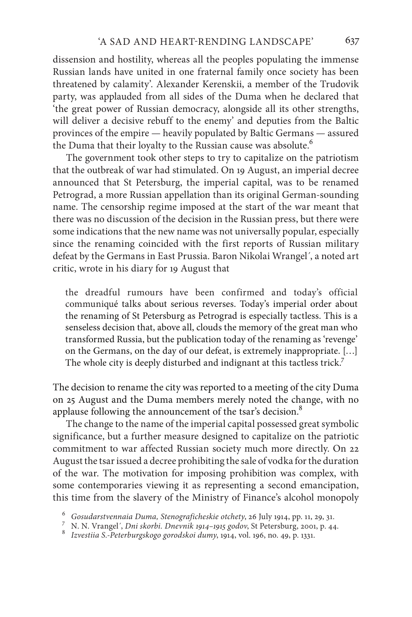dissension and hostility, whereas all the peoples populating the immense Russian lands have united in one fraternal family once society has been threatened by calamity'. Alexander Kerenskii, a member of the Trudovik party, was applauded from all sides of the Duma when he declared that 'the great power of Russian democracy, alongside all its other strengths, will deliver a decisive rebuff to the enemy' and deputies from the Baltic provinces of the empire — heavily populated by Baltic Germans — assured the Duma that their loyalty to the Russian cause was absolute.<sup>6</sup>

The government took other steps to try to capitalize on the patriotism that the outbreak of war had stimulated. On 19 August, an imperial decree announced that St Petersburg, the imperial capital, was to be renamed Petrograd, a more Russian appellation than its original German-sounding name. The censorship regime imposed at the start of the war meant that there was no discussion of the decision in the Russian press, but there were some indications that the new name was not universally popular, especially since the renaming coincided with the first reports of Russian military defeat by the Germans in East Prussia. Baron Nikolai Wrangel´, a noted art critic, wrote in his diary for 19 August that

the dreadful rumours have been confirmed and today's official communiqué talks about serious reverses. Today's imperial order about the renaming of St Petersburg as Petrograd is especially tactless. This is a senseless decision that, above all, clouds the memory of the great man who transformed Russia, but the publication today of the renaming as 'revenge' on the Germans, on the day of our defeat, is extremely inappropriate. […] The whole city is deeply disturbed and indignant at this tactless trick.<sup>7</sup>

The decision to rename the city was reported to a meeting of the city Duma on 25 August and the Duma members merely noted the change, with no applause following the announcement of the tsar's decision.<sup>8</sup>

The change to the name of the imperial capital possessed great symbolic significance, but a further measure designed to capitalize on the patriotic commitment to war affected Russian society much more directly. On 22 August the tsar issued a decree prohibiting the sale of vodka for the duration of the war. The motivation for imposing prohibition was complex, with some contemporaries viewing it as representing a second emancipation, this time from the slavery of the Ministry of Finance's alcohol monopoly

 $^6$  Gosudarstvennaia Duma, Stenograficheskie otchety, 26 July 1914, pp. 11, 29, 31.<br> $^7$ N. N. Vrangel', Dni skorbi. Dnevnik 1914–1915 godov, St<br/> Petersburg, 2001, p. 44.<br> $^8$ Izvestiia S.-Peterburgskogo gorodsko<br/>i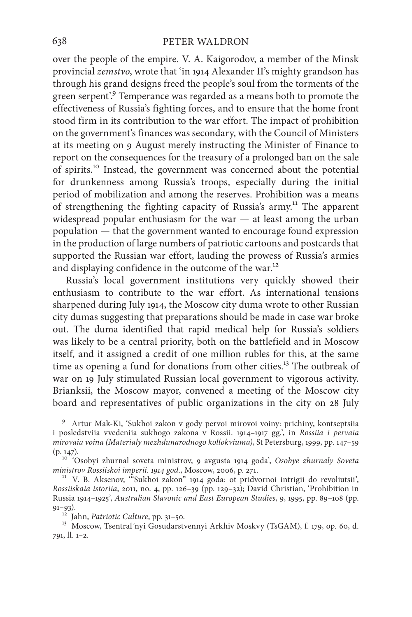over the people of the empire. V. A. Kaigorodov, a member of the Minsk provincial *zemstvo*, wrote that 'in 1914 Alexander II's mighty grandson has through his grand designs freed the people's soul from the torments of the green serpent'.<sup>9</sup> Temperance was regarded as a means both to promote the effectiveness of Russia's fighting forces, and to ensure that the home front stood firm in its contribution to the war effort. The impact of prohibition on the government's finances was secondary, with the Council of Ministers at its meeting on 9 August merely instructing the Minister of Finance to report on the consequences for the treasury of a prolonged ban on the sale of spirits.10 Instead, the government was concerned about the potential for drunkenness among Russia's troops, especially during the initial period of mobilization and among the reserves. Prohibition was a means of strengthening the fighting capacity of Russia's army.<sup>11</sup> The apparent widespread popular enthusiasm for the war — at least among the urban population — that the government wanted to encourage found expression in the production of large numbers of patriotic cartoons and postcards that supported the Russian war effort, lauding the prowess of Russia's armies and displaying confidence in the outcome of the war.<sup>12</sup>

Russia's local government institutions very quickly showed their enthusiasm to contribute to the war effort. As international tensions sharpened during July 1914, the Moscow city duma wrote to other Russian city dumas suggesting that preparations should be made in case war broke out. The duma identified that rapid medical help for Russia's soldiers was likely to be a central priority, both on the battlefield and in Moscow itself, and it assigned a credit of one million rubles for this, at the same time as opening a fund for donations from other cities.<sup>13</sup> The outbreak of war on 19 July stimulated Russian local government to vigorous activity. Brianksii, the Moscow mayor, convened a meeting of the Moscow city board and representatives of public organizations in the city on 28 July

<sup>9</sup> Artur Mak-Ki, 'Sukhoi zakon v gody pervoi mirovoi voiny: prichiny, kontseptsiia i posledstviia vvedeniia sukhogo zakona v Rossii. 1914–1917 gg.', in *Rossiia i pervaia mirovaia voina (Materialy mezhdunarodnogo kollokviuma)*, St Petersburg, 1999, pp. 147–59

(p. 147). <sup>10</sup> 'Osobyi zhurnal soveta ministrov, 9 avgusta 1914 goda', *Osobye zhurnaly Soveta* 

*ministrovininistrov Rossiiskoi jauni versiosii, 2006, p. 271.* 172. 128. Aksenov, "Sukhoi zakon" 1914 goda: ot pridvornoi intrigii do revoliutsii', *Rossiiskaia istoriia*, 2011, no. 4, pp. 126–39 (pp. 129–32); David Christian, 'Prohibition in Russia 1914–1925', *Australian Slavonic and East European Studies*, 9, 1995, pp. 89–108 (pp. 91–93). <sup>12</sup> Jahn, *Patriotic Culture*, pp. 31–50. <sup>13</sup> Moscow, Tsentral´nyi Gosudarstvennyi Arkhiv Moskvy (TsGAM), f. 179, op. 60, d.

791, ll. 1–2.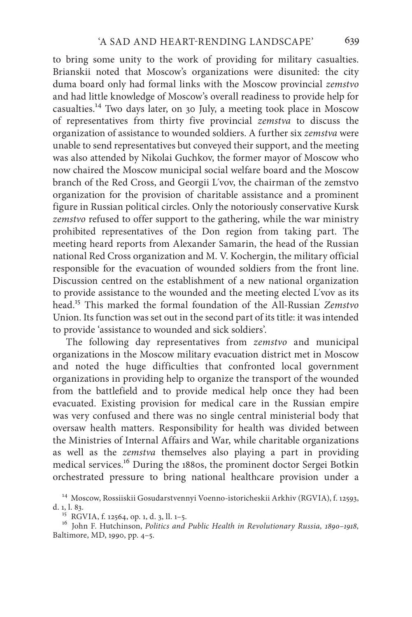to bring some unity to the work of providing for military casualties. Brianskii noted that Moscow's organizations were disunited: the city duma board only had formal links with the Moscow provincial *zemstvo* and had little knowledge of Moscow's overall readiness to provide help for casualties.14 Two days later, on 30 July, a meeting took place in Moscow of representatives from thirty five provincial *zemstva* to discuss the organization of assistance to wounded soldiers. A further six *zemstva* were unable to send representatives but conveyed their support, and the meeting was also attended by Nikolai Guchkov, the former mayor of Moscow who now chaired the Moscow municipal social welfare board and the Moscow branch of the Red Cross, and Georgii L´vov, the chairman of the zemstvo organization for the provision of charitable assistance and a prominent figure in Russian political circles. Only the notoriously conservative Kursk *zemstvo* refused to offer support to the gathering, while the war ministry prohibited representatives of the Don region from taking part. The meeting heard reports from Alexander Samarin, the head of the Russian national Red Cross organization and M. V. Kochergin, the military official responsible for the evacuation of wounded soldiers from the front line. Discussion centred on the establishment of a new national organization to provide assistance to the wounded and the meeting elected L´vov as its head.15 This marked the formal foundation of the All-Russian *Zemstvo* Union. Its function was set out in the second part of its title: it was intended to provide 'assistance to wounded and sick soldiers'.

The following day representatives from *zemstvo* and municipal organizations in the Moscow military evacuation district met in Moscow and noted the huge difficulties that confronted local government organizations in providing help to organize the transport of the wounded from the battlefield and to provide medical help once they had been evacuated. Existing provision for medical care in the Russian empire was very confused and there was no single central ministerial body that oversaw health matters. Responsibility for health was divided between the Ministries of Internal Affairs and War, while charitable organizations as well as the *zemstva* themselves also playing a part in providing medical services.16 During the 1880s, the prominent doctor Sergei Botkin orchestrated pressure to bring national healthcare provision under a

 $^{14}$  Moscow, Rossiiskii Gosudarstvennyi Voenno-istoricheskii Arkhiv (RGVIA), f. 12593, d. 1, l. 83.  $^{\,15}$  RGVIA, f. 12564, op. 1, d. 3, ll. 1–5.

<sup>16</sup> John F. Hutchinson, *Politics and Public Health in Revolutionary Russia*, 1890–1918, Baltimore, MD, 1990, pp. 4–5.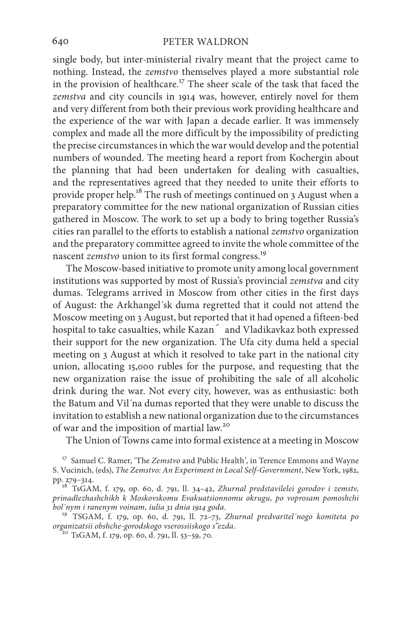single body, but inter-ministerial rivalry meant that the project came to nothing. Instead, the *zemstvo* themselves played a more substantial role in the provision of healthcare.<sup>17</sup> The sheer scale of the task that faced the *zemstva* and city councils in 1914 was, however, entirely novel for them and very different from both their previous work providing healthcare and the experience of the war with Japan a decade earlier. It was immensely complex and made all the more difficult by the impossibility of predicting the precise circumstances in which the war would develop and the potential numbers of wounded. The meeting heard a report from Kochergin about the planning that had been undertaken for dealing with casualties, and the representatives agreed that they needed to unite their efforts to provide proper help.18 The rush of meetings continued on 3 August when a preparatory committee for the new national organization of Russian cities gathered in Moscow. The work to set up a body to bring together Russia's cities ran parallel to the efforts to establish a national *zemstvo* organization and the preparatory committee agreed to invite the whole committee of the nascent *zemstvo* union to its first formal congress.<sup>19</sup>

The Moscow-based initiative to promote unity among local government institutions was supported by most of Russia's provincial *zemstva* and city dumas. Telegrams arrived in Moscow from other cities in the first days of August: the Arkhangel´sk duma regretted that it could not attend the Moscow meeting on 3 August, but reported that it had opened a fifteen-bed hospital to take casualties, while Kazan´ and Vladikavkaz both expressed their support for the new organization. The Ufa city duma held a special meeting on 3 August at which it resolved to take part in the national city union, allocating 15,000 rubles for the purpose, and requesting that the new organization raise the issue of prohibiting the sale of all alcoholic drink during the war. Not every city, however, was as enthusiastic: both the Batum and Vil´na dumas reported that they were unable to discuss the invitation to establish a new national organization due to the circumstances of war and the imposition of martial law.20

The Union of Towns came into formal existence at a meeting in Moscow

<sup>&</sup>lt;sup>17</sup> Samuel C. Ramer, 'The *Zemstvo* and Public Health', in Terence Emmons and Wayne S. Vucinich, (eds), *The Zemstvo: An Experiment in Local Self-Government*, New York, 1982,

pp. 279–314. <sup>18</sup> TsGAM, f. 179, op. 60, d. 791, ll. 34–42, *Zhurnal predstavilelei gorodov i zemstv, prinadlezhashchikh k Moskovskomu Evakuatsionnomu okrugu, po voprosam pomoshchi* 

<sup>&</sup>lt;sup>19</sup><sup> $'$ </sup>TSGAM, f. 179, op. 60, d. 791, ll. 72–73, Zhurnal predvaritel'nogo komiteta po organizatsii obshche-gorodskogo vserossiiskogo s"ezda.

*organizatsii obshche-gorodskogo vserossiiskogo s"ezda*. <sup>20</sup> TsGAM, f. 179, op. 60, d. 791, ll. 53–59, 70.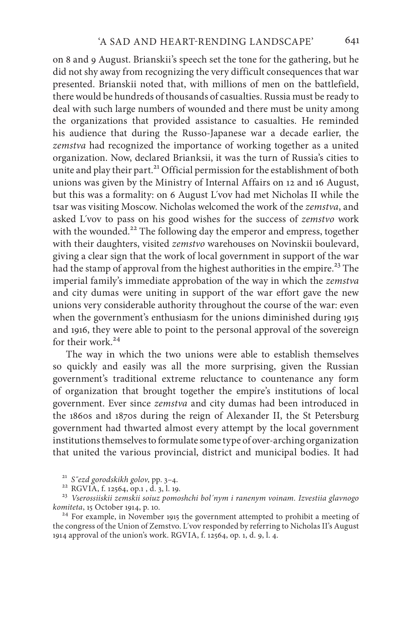on 8 and 9 August. Brianskii's speech set the tone for the gathering, but he did not shy away from recognizing the very difficult consequences that war presented. Brianskii noted that, with millions of men on the battlefield, there would be hundreds of thousands of casualties. Russia must be ready to deal with such large numbers of wounded and there must be unity among the organizations that provided assistance to casualties. He reminded his audience that during the Russo-Japanese war a decade earlier, the *zemstva* had recognized the importance of working together as a united organization. Now, declared Brianksii, it was the turn of Russia's cities to unite and play their part.<sup>21</sup> Official permission for the establishment of both unions was given by the Ministry of Internal Affairs on 12 and 16 August, but this was a formality: on 6 August L´vov had met Nicholas II while the tsar was visiting Moscow. Nicholas welcomed the work of the *zemstva*, and asked L´vov to pass on his good wishes for the success of *zemstvo* work with the wounded.<sup>22</sup> The following day the emperor and empress, together with their daughters, visited *zemstvo* warehouses on Novinskii boulevard, giving a clear sign that the work of local government in support of the war had the stamp of approval from the highest authorities in the empire.<sup>23</sup> The imperial family's immediate approbation of the way in which the *zemstva* and city dumas were uniting in support of the war effort gave the new unions very considerable authority throughout the course of the war: even when the government's enthusiasm for the unions diminished during 1915 and 1916, they were able to point to the personal approval of the sovereign for their work<sup>24</sup>

The way in which the two unions were able to establish themselves so quickly and easily was all the more surprising, given the Russian government's traditional extreme reluctance to countenance any form of organization that brought together the empire's institutions of local government. Ever since *zemstva* and city dumas had been introduced in the 1860s and 1870s during the reign of Alexander II, the St Petersburg government had thwarted almost every attempt by the local government institutions themselves to formulate some type of over-arching organization that united the various provincial, district and municipal bodies. It had

<sup>21</sup> *S˝ezd gorodskikh golov*, pp. 3–4. <sup>22</sup> RGVIA, f. 12564, op.1 , d. 3, l. 19. <sup>23</sup> *Vserossiiskii zemskii soiuz pomoshchi bol´nym i ranenym voinam. Izvestiia glavnogo* 

<sup>&</sup>lt;sup>24</sup> For example, in November 1915 the government attempted to prohibit a meeting of the congress of the Union of Zemstvo. L´vov responded by referring to Nicholas II's August 1914 approval of the union's work. RGVIA, f. 12564, op. 1, d. 9, l. 4.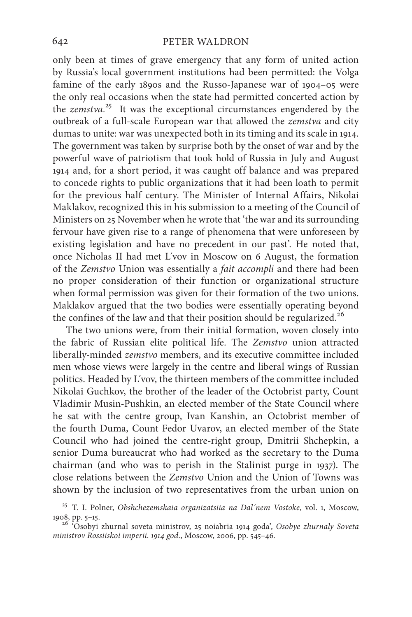only been at times of grave emergency that any form of united action by Russia's local government institutions had been permitted: the Volga famine of the early 1890s and the Russo-Japanese war of 1904–05 were the only real occasions when the state had permitted concerted action by the *zemstva.*25 It was the exceptional circumstances engendered by the outbreak of a full-scale European war that allowed the *zemstva* and city dumas to unite: war was unexpected both in its timing and its scale in 1914. The government was taken by surprise both by the onset of war and by the powerful wave of patriotism that took hold of Russia in July and August 1914 and, for a short period, it was caught off balance and was prepared to concede rights to public organizations that it had been loath to permit for the previous half century. The Minister of Internal Affairs, Nikolai Maklakov, recognized this in his submission to a meeting of the Council of Ministers on 25 November when he wrote that 'the war and its surrounding fervour have given rise to a range of phenomena that were unforeseen by existing legislation and have no precedent in our past'. He noted that, once Nicholas II had met L´vov in Moscow on 6 August, the formation of the *Zemstvo* Union was essentially a *fait accompli* and there had been no proper consideration of their function or organizational structure when formal permission was given for their formation of the two unions. Maklakov argued that the two bodies were essentially operating beyond the confines of the law and that their position should be regularized.<sup>26</sup>

The two unions were, from their initial formation, woven closely into the fabric of Russian elite political life. The *Zemstvo* union attracted liberally-minded *zemstvo* members, and its executive committee included men whose views were largely in the centre and liberal wings of Russian politics. Headed by L´vov, the thirteen members of the committee included Nikolai Guchkov, the brother of the leader of the Octobrist party, Count Vladimir Musin-Pushkin, an elected member of the State Council where he sat with the centre group, Ivan Kanshin, an Octobrist member of the fourth Duma, Count Fedor Uvarov, an elected member of the State Council who had joined the centre-right group, Dmitrii Shchepkin, a senior Duma bureaucrat who had worked as the secretary to the Duma chairman (and who was to perish in the Stalinist purge in 1937). The close relations between the *Zemstvo* Union and the Union of Towns was shown by the inclusion of two representatives from the urban union on

<sup>25</sup> T. I. Polner, *Obshchezemskaia organizatsiia na Dal´nem Vostoke*, vol. 1, Moscow,

<sup>&</sup>lt;sup>26</sup> 'Osobyi zhurnal soveta ministrov, 25 noiabria 1914 goda', Osobye zhurnaly Soveta *ministrov Rossiiskoi imperii*. *1914 god.*, Moscow, 2006, pp. 545–46.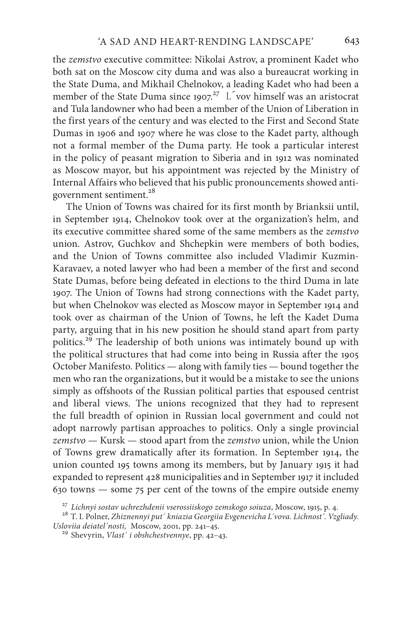the *zemstvo* executive committee: Nikolai Astrov, a prominent Kadet who both sat on the Moscow city duma and was also a bureaucrat working in the State Duma, and Mikhail Chelnokov, a leading Kadet who had been a member of the State Duma since 1907.<sup>27</sup> L vov himself was an aristocrat and Tula landowner who had been a member of the Union of Liberation in the first years of the century and was elected to the First and Second State Dumas in 1906 and 1907 where he was close to the Kadet party, although not a formal member of the Duma party. He took a particular interest in the policy of peasant migration to Siberia and in 1912 was nominated as Moscow mayor, but his appointment was rejected by the Ministry of Internal Affairs who believed that his public pronouncements showed antigovernment sentiment.<sup>28</sup>

The Union of Towns was chaired for its first month by Brianksii until, in September 1914, Chelnokov took over at the organization's helm, and its executive committee shared some of the same members as the *zemstvo* union. Astrov, Guchkov and Shchepkin were members of both bodies, and the Union of Towns committee also included Vladimir Kuzmin-Karavaev, a noted lawyer who had been a member of the first and second State Dumas, before being defeated in elections to the third Duma in late 1907. The Union of Towns had strong connections with the Kadet party, but when Chelnokov was elected as Moscow mayor in September 1914 and took over as chairman of the Union of Towns, he left the Kadet Duma party, arguing that in his new position he should stand apart from party politics.29 The leadership of both unions was intimately bound up with the political structures that had come into being in Russia after the 1905 October Manifesto. Politics — along with family ties — bound together the men who ran the organizations, but it would be a mistake to see the unions simply as offshoots of the Russian political parties that espoused centrist and liberal views. The unions recognized that they had to represent the full breadth of opinion in Russian local government and could not adopt narrowly partisan approaches to politics. Only a single provincial *zemstvo* — Kursk — stood apart from the *zemstvo* union, while the Union of Towns grew dramatically after its formation. In September 1914, the union counted 195 towns among its members, but by January 1915 it had expanded to represent 428 municipalities and in September 1917 it included 630 towns — some 75 per cent of the towns of the empire outside enemy

<sup>&</sup>lt;sup>27</sup> Lichnyi sostav uchrezhdenii vserossiiskogo zemskogo soiuza, Moscow, 1915, p. 4.<br><sup>28</sup> T. I. Polner, *Zhiznennyi put´ kniazia Georgiia Evgenevicha L´vova. Lichnost´. Vzgliady.*<br>Usloviia deiatel´nosti, Moscow, 2001, pp.

<sup>&</sup>lt;sup>29</sup> Shevyrin, *Vlast´ i obshchestvennye*, pp. 42–43.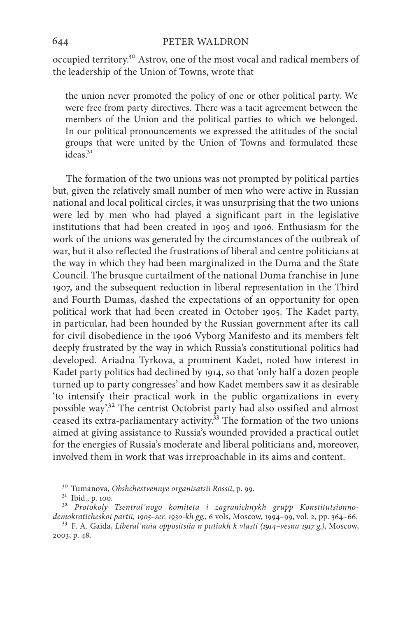occupied territory.30 Astrov, one of the most vocal and radical members of the leadership of the Union of Towns, wrote that

the union never promoted the policy of one or other political party. We were free from party directives. There was a tacit agreement between the members of the Union and the political parties to which we belonged. In our political pronouncements we expressed the attitudes of the social groups that were united by the Union of Towns and formulated these  $i<sup>31</sup>$ 

The formation of the two unions was not prompted by political parties but, given the relatively small number of men who were active in Russian national and local political circles, it was unsurprising that the two unions were led by men who had played a significant part in the legislative institutions that had been created in 1905 and 1906. Enthusiasm for the work of the unions was generated by the circumstances of the outbreak of war, but it also reflected the frustrations of liberal and centre politicians at the way in which they had been marginalized in the Duma and the State Council. The brusque curtailment of the national Duma franchise in June 1907, and the subsequent reduction in liberal representation in the Third and Fourth Dumas, dashed the expectations of an opportunity for open political work that had been created in October 1905. The Kadet party, in particular, had been hounded by the Russian government after its call for civil disobedience in the 1906 Vyborg Manifesto and its members felt deeply frustrated by the way in which Russia's constitutional politics had developed. Ariadna Tyrkova, a prominent Kadet, noted how interest in Kadet party politics had declined by 1914, so that 'only half a dozen people turned up to party congresses' and how Kadet members saw it as desirable 'to intensify their practical work in the public organizations in every possible way'.<sup>32</sup> The centrist Octobrist party had also ossified and almost ceased its extra-parliamentary activity. $33$  The formation of the two unions aimed at giving assistance to Russia's wounded provided a practical outlet for the energies of Russia's moderate and liberal politicians and, moreover, involved them in work that was irreproachable in its aims and content.

<sup>&</sup>lt;sup>30</sup> Tumanova, Obshchestvennye organisatsii Rossii, p. 99.<br><sup>31</sup> Ibid., p. 100.<br><sup>32</sup> *Protokoly Tsentral´nogo komiteta i zagranichnykh grupp Konstitutsionnodemokraticheskoi partii, 1905–ser. 1930-kh gg.*, 6 vols, Moscow, 1994–99, vol. 2, pp. 364–66. <sup>33</sup> F. A. Gaida, *Liberal´naia oppositsiia n putiakh k vlasti (1914–vesna 1917 g.)*, Moscow,

<sup>2003,</sup> p. 48.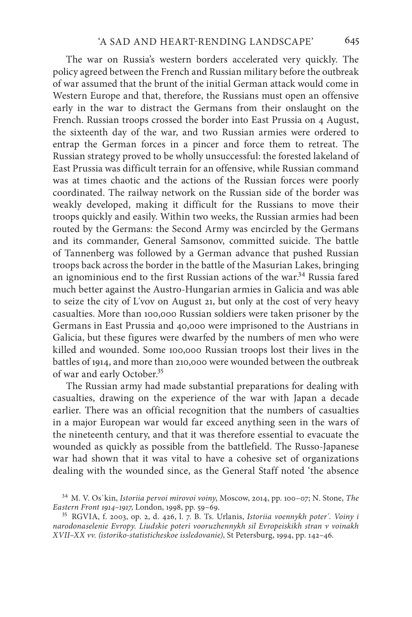The war on Russia's western borders accelerated very quickly. The policy agreed between the French and Russian military before the outbreak of war assumed that the brunt of the initial German attack would come in Western Europe and that, therefore, the Russians must open an offensive early in the war to distract the Germans from their onslaught on the French. Russian troops crossed the border into East Prussia on 4 August, the sixteenth day of the war, and two Russian armies were ordered to entrap the German forces in a pincer and force them to retreat. The Russian strategy proved to be wholly unsuccessful: the forested lakeland of East Prussia was difficult terrain for an offensive, while Russian command was at times chaotic and the actions of the Russian forces were poorly coordinated. The railway network on the Russian side of the border was weakly developed, making it difficult for the Russians to move their troops quickly and easily. Within two weeks, the Russian armies had been routed by the Germans: the Second Army was encircled by the Germans and its commander, General Samsonov, committed suicide. The battle of Tannenberg was followed by a German advance that pushed Russian troops back across the border in the battle of the Masurian Lakes, bringing an ignominious end to the first Russian actions of the war.<sup>34</sup> Russia fared much better against the Austro-Hungarian armies in Galicia and was able to seize the city of L´vov on August 21, but only at the cost of very heavy casualties. More than 100,000 Russian soldiers were taken prisoner by the Germans in East Prussia and 40,000 were imprisoned to the Austrians in Galicia, but these figures were dwarfed by the numbers of men who were killed and wounded. Some 100,000 Russian troops lost their lives in the battles of 1914, and more than 210,000 were wounded between the outbreak of war and early October.35

The Russian army had made substantial preparations for dealing with casualties, drawing on the experience of the war with Japan a decade earlier. There was an official recognition that the numbers of casualties in a major European war would far exceed anything seen in the wars of the nineteenth century, and that it was therefore essential to evacuate the wounded as quickly as possible from the battlefield. The Russo-Japanese war had shown that it was vital to have a cohesive set of organizations dealing with the wounded since, as the General Staff noted 'the absence

<sup>34</sup> M. V. Os´kin, *Istoriia pervoi mirovoi voiny*, Moscow, 2014, pp. 100–07; N. Stone, *The* 

*Eastern Front 1914–1917*, London, 1998, pp. 59–69. <sup>35</sup> RGVIA, f. 2003, op. 2, d. 426, l. 7. B. Ts. Urlanis, *Istoriia voennykh poter´. Voiny i narodonaselenie Evropy. Liudskie poteri vooruzhennykh sil Evropeiskikh stran v voinakh XVII–XX vv. (istoriko-statisticheskoe issledovanie)*, St Petersburg, 1994, pp. 142–46.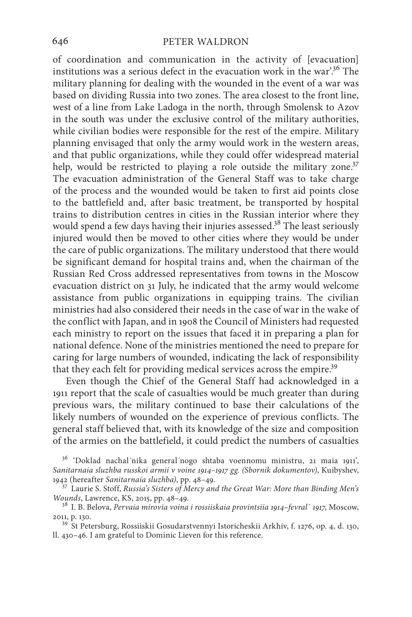of coordination and communication in the activity of [evacuation] institutions was a serious defect in the evacuation work in the war'.36 The military planning for dealing with the wounded in the event of a war was based on dividing Russia into two zones. The area closest to the front line, west of a line from Lake Ladoga in the north, through Smolensk to Azov in the south was under the exclusive control of the military authorities, while civilian bodies were responsible for the rest of the empire. Military planning envisaged that only the army would work in the western areas, and that public organizations, while they could offer widespread material help, would be restricted to playing a role outside the military zone.<sup>37</sup> The evacuation administration of the General Staff was to take charge of the process and the wounded would be taken to first aid points close to the battlefield and, after basic treatment, be transported by hospital trains to distribution centres in cities in the Russian interior where they would spend a few days having their injuries assessed.<sup>38</sup> The least seriously injured would then be moved to other cities where they would be under the care of public organizations. The military understood that there would be significant demand for hospital trains and, when the chairman of the Russian Red Cross addressed representatives from towns in the Moscow evacuation district on 31 July, he indicated that the army would welcome assistance from public organizations in equipping trains. The civilian ministries had also considered their needs in the case of war in the wake of the conflict with Japan, and in 1908 the Council of Ministers had requested each ministry to report on the issues that faced it in preparing a plan for national defence. None of the ministries mentioned the need to prepare for caring for large numbers of wounded, indicating the lack of responsibility that they each felt for providing medical services across the empire.<sup>39</sup>

Even though the Chief of the General Staff had acknowledged in a 1911 report that the scale of casualties would be much greater than during previous wars, the military continued to base their calculations of the likely numbers of wounded on the experience of previous conflicts. The general staff believed that, with its knowledge of the size and composition of the armies on the battlefield, it could predict the numbers of casualties

ll. 430–46. I am grateful to Dominic Lieven for this reference.

<sup>36</sup> 'Doklad nachal´nika general´nogo shtaba voennomu ministru, 21 maia 1911', *Sanitarnaia sluzhba russkoi armii v voine 1914–1917 gg. (Sbornik dokumentov)*, Kuibyshev,

<sup>&</sup>lt;sup>37</sup> Laurie S. Stoff, *Russia's Sisters of Mercy and the Great War: More than Binding Men's Wounds, Lawrence, KS, 2015, pp. 48–49.* 

<sup>&</sup>lt;sup>38</sup> I. B. Belova, *Pervaia mirovia voina i rossiiskaia provintsiia 1914-fevral<sup>'</sup> 1917*, Moscow, 2011, p. 130. <sup>39</sup> St Petersburg, Rossiiskii Gosudarstvennyi Istoricheskii Arkhiv, f. 1276, op. 4, d. 130,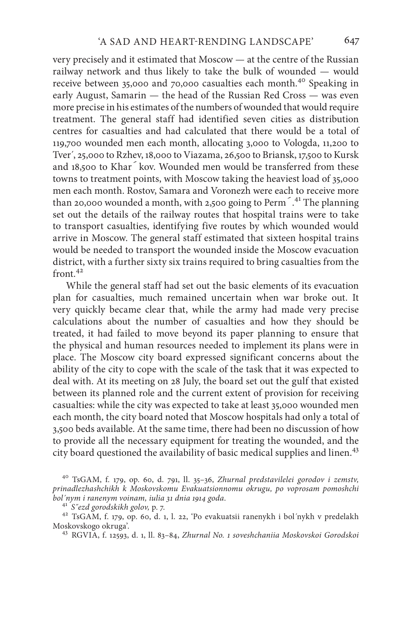very precisely and it estimated that Moscow — at the centre of the Russian railway network and thus likely to take the bulk of wounded — would receive between 35,000 and 70,000 casualties each month.<sup>40</sup> Speaking in early August, Samarin — the head of the Russian Red Cross — was even more precise in his estimates of the numbers of wounded that would require treatment. The general staff had identified seven cities as distribution centres for casualties and had calculated that there would be a total of 119,700 wounded men each month, allocating 3,000 to Vologda, 11,200 to Tver´, 25,000 to Rzhev, 18,000 to Viazama, 26,500 to Briansk, 17,500 to Kursk and 18,500 to Khar´kov. Wounded men would be transferred from these towns to treatment points, with Moscow taking the heaviest load of 35,000 men each month. Rostov, Samara and Voronezh were each to receive more than 20,000 wounded a month, with 2,500 going to Perm´. 41 The planning set out the details of the railway routes that hospital trains were to take to transport casualties, identifying five routes by which wounded would arrive in Moscow. The general staff estimated that sixteen hospital trains would be needed to transport the wounded inside the Moscow evacuation district, with a further sixty six trains required to bring casualties from the  $front<sup>42</sup>$ 

While the general staff had set out the basic elements of its evacuation plan for casualties, much remained uncertain when war broke out. It very quickly became clear that, while the army had made very precise calculations about the number of casualties and how they should be treated, it had failed to move beyond its paper planning to ensure that the physical and human resources needed to implement its plans were in place. The Moscow city board expressed significant concerns about the ability of the city to cope with the scale of the task that it was expected to deal with. At its meeting on 28 July, the board set out the gulf that existed between its planned role and the current extent of provision for receiving casualties: while the city was expected to take at least 35,000 wounded men each month, the city board noted that Moscow hospitals had only a total of 3,500 beds available. At the same time, there had been no discussion of how to provide all the necessary equipment for treating the wounded, and the city board questioned the availability of basic medical supplies and linen.<sup>43</sup>

<sup>40</sup> TsGAM, f. 179, op. 60, d. 791, ll. 35–36, *Zhurnal predstavilelei gorodov i zemstv, prinadlezhashchikh k Moskovskomu Evakuatsionnomu okrugu, po voprosam pomoshchi* 

<sup>43</sup> RGVIA, f. 12593, d. 1, ll. 83-84, *Zhurnal No. 1 soveshchaniia Moskovskoi Gorodskoi* 

*bol´nym i ranenym voinam, iulia 31 dnia 1914 goda*. 41 *S˝ezd gorodskikh golov,* p. 7. <sup>42</sup> TsGAM, f. 179, op. 60, d. 1, l. 22, 'Po evakuatsii ranenykh i bol´nykh v predelakh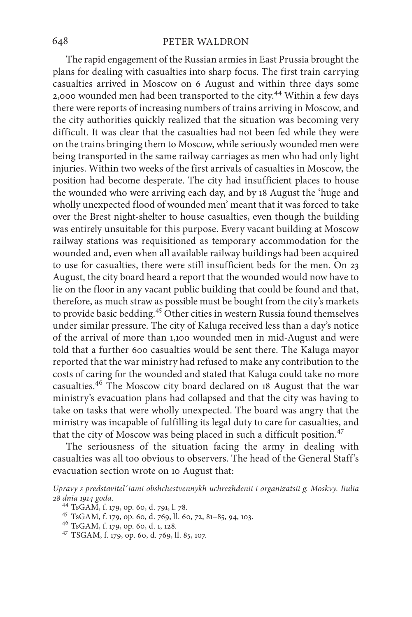The rapid engagement of the Russian armies in East Prussia brought the plans for dealing with casualties into sharp focus. The first train carrying casualties arrived in Moscow on 6 August and within three days some 2,000 wounded men had been transported to the city.44 Within a few days there were reports of increasing numbers of trains arriving in Moscow, and the city authorities quickly realized that the situation was becoming very difficult. It was clear that the casualties had not been fed while they were on the trains bringing them to Moscow, while seriously wounded men were being transported in the same railway carriages as men who had only light injuries. Within two weeks of the first arrivals of casualties in Moscow, the position had become desperate. The city had insufficient places to house the wounded who were arriving each day, and by 18 August the 'huge and wholly unexpected flood of wounded men' meant that it was forced to take over the Brest night-shelter to house casualties, even though the building was entirely unsuitable for this purpose. Every vacant building at Moscow railway stations was requisitioned as temporary accommodation for the wounded and, even when all available railway buildings had been acquired to use for casualties, there were still insufficient beds for the men. On 23 August, the city board heard a report that the wounded would now have to lie on the floor in any vacant public building that could be found and that, therefore, as much straw as possible must be bought from the city's markets to provide basic bedding.<sup>45</sup> Other cities in western Russia found themselves under similar pressure. The city of Kaluga received less than a day's notice of the arrival of more than 1,100 wounded men in mid-August and were told that a further 600 casualties would be sent there. The Kaluga mayor reported that the war ministry had refused to make any contribution to the costs of caring for the wounded and stated that Kaluga could take no more casualties.46 The Moscow city board declared on 18 August that the war ministry's evacuation plans had collapsed and that the city was having to take on tasks that were wholly unexpected. The board was angry that the ministry was incapable of fulfilling its legal duty to care for casualties, and that the city of Moscow was being placed in such a difficult position.<sup>47</sup>

The seriousness of the situation facing the army in dealing with casualties was all too obvious to observers. The head of the General Staff's evacuation section wrote on 10 August that:

*Upravy s predstavitel´iami obshchestvennykh uchrezhdenii i organizatsii g. Moskvy. Iiulia* 

<sup>&</sup>lt;sup>44</sup> TsGAM, f. 179, op. 60, d. 791, l. 78.<br><sup>45</sup> TsGAM, f. 179, op. 60, d. 769, ll. 60, 72, 81–85, 94, 103.<br><sup>46</sup> TsGAM, f. 179, op. 60, d. 1, 128.<br><sup>47</sup> TSGAM, f. 179, op. 60, d. 769, ll. 85, 107.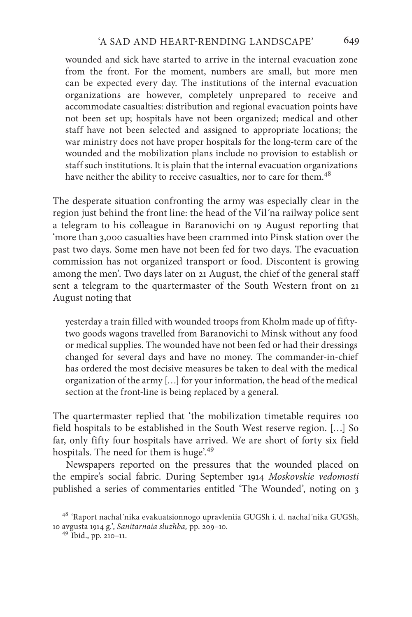wounded and sick have started to arrive in the internal evacuation zone from the front. For the moment, numbers are small, but more men can be expected every day. The institutions of the internal evacuation organizations are however, completely unprepared to receive and accommodate casualties: distribution and regional evacuation points have not been set up; hospitals have not been organized; medical and other staff have not been selected and assigned to appropriate locations; the war ministry does not have proper hospitals for the long-term care of the wounded and the mobilization plans include no provision to establish or staff such institutions. It is plain that the internal evacuation organizations have neither the ability to receive casualties, nor to care for them.<sup>48</sup>

The desperate situation confronting the army was especially clear in the region just behind the front line: the head of the Vil´na railway police sent a telegram to his colleague in Baranovichi on 19 August reporting that 'more than 3,000 casualties have been crammed into Pinsk station over the past two days. Some men have not been fed for two days. The evacuation commission has not organized transport or food. Discontent is growing among the men'. Two days later on 21 August, the chief of the general staff sent a telegram to the quartermaster of the South Western front on 21 August noting that

yesterday a train filled with wounded troops from Kholm made up of fiftytwo goods wagons travelled from Baranovichi to Minsk without any food or medical supplies. The wounded have not been fed or had their dressings changed for several days and have no money. The commander-in-chief has ordered the most decisive measures be taken to deal with the medical organization of the army […] for your information, the head of the medical section at the front-line is being replaced by a general.

The quartermaster replied that 'the mobilization timetable requires 100 field hospitals to be established in the South West reserve region. […] So far, only fifty four hospitals have arrived. We are short of forty six field hospitals. The need for them is huge'.<sup>49</sup>

Newspapers reported on the pressures that the wounded placed on the empire's social fabric. During September 1914 *Moskovskie vedomosti* published a series of commentaries entitled 'The Wounded', noting on 3

<sup>48</sup> 'Raport nachal´nika evakuatsionnogo upravleniia GUGSh i. d. nachal´nika GUGSh, 10 avgusta 1914 g.', *Sanitarnaia sluzhba,* pp. 209–10. <sup>49</sup> Ibid., pp. 210–11.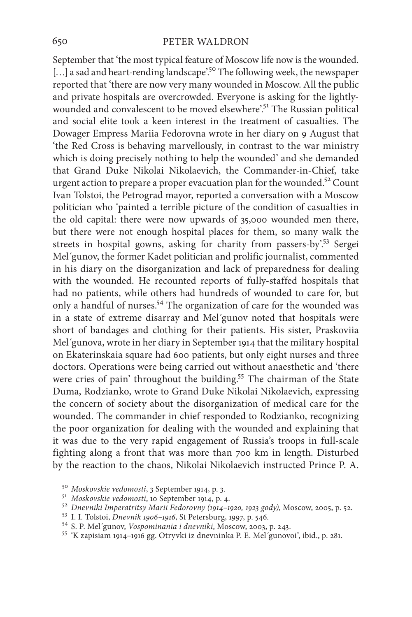September that 'the most typical feature of Moscow life now is the wounded. [...] a sad and heart-rending landscape'.<sup>50</sup> The following week, the newspaper reported that 'there are now very many wounded in Moscow. All the public and private hospitals are overcrowded. Everyone is asking for the lightlywounded and convalescent to be moved elsewhere'.<sup>51</sup> The Russian political and social elite took a keen interest in the treatment of casualties. The Dowager Empress Mariia Fedorovna wrote in her diary on 9 August that 'the Red Cross is behaving marvellously, in contrast to the war ministry which is doing precisely nothing to help the wounded' and she demanded that Grand Duke Nikolai Nikolaevich, the Commander-in-Chief, take urgent action to prepare a proper evacuation plan for the wounded.<sup>52</sup> Count Ivan Tolstoi, the Petrograd mayor, reported a conversation with a Moscow politician who 'painted a terrible picture of the condition of casualties in the old capital: there were now upwards of 35,000 wounded men there, but there were not enough hospital places for them, so many walk the streets in hospital gowns, asking for charity from passers-by'.<sup>53</sup> Sergei Mel´gunov, the former Kadet politician and prolific journalist, commented in his diary on the disorganization and lack of preparedness for dealing with the wounded. He recounted reports of fully-staffed hospitals that had no patients, while others had hundreds of wounded to care for, but only a handful of nurses.<sup>54</sup> The organization of care for the wounded was in a state of extreme disarray and Mel´gunov noted that hospitals were short of bandages and clothing for their patients. His sister, Praskoviia Mel´gunova, wrote in her diary in September 1914 that the military hospital on Ekaterinskaia square had 600 patients, but only eight nurses and three doctors. Operations were being carried out without anaesthetic and 'there were cries of pain' throughout the building.<sup>55</sup> The chairman of the State Duma, Rodzianko, wrote to Grand Duke Nikolai Nikolaevich, expressing the concern of society about the disorganization of medical care for the wounded. The commander in chief responded to Rodzianko, recognizing the poor organization for dealing with the wounded and explaining that it was due to the very rapid engagement of Russia's troops in full-scale fighting along a front that was more than 700 km in length. Disturbed by the reaction to the chaos, Nikolai Nikolaevich instructed Prince P. A.

- 
- <sup>50</sup> Moskovskie vedomosti, 3 September 1914, p. 3.<br>
<sup>51</sup> Moskovskie vedomosti, 10 September 1914, p. 4.<br>
<sup>52</sup> Dnevniki Imperatritsy Marii Fedorovny (1914–1920, 1923 gody), Moscow, 2005, p. 52.<br>
<sup>53</sup> I. I. Tolstoi, Dnevnik
- 
- 
-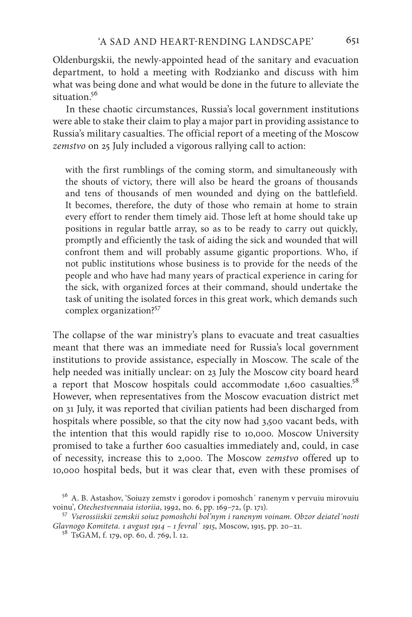Oldenburgskii, the newly-appointed head of the sanitary and evacuation department, to hold a meeting with Rodzianko and discuss with him what was being done and what would be done in the future to alleviate the situation.<sup>56</sup>

In these chaotic circumstances, Russia's local government institutions were able to stake their claim to play a major part in providing assistance to Russia's military casualties. The official report of a meeting of the Moscow *zemstvo* on 25 July included a vigorous rallying call to action:

with the first rumblings of the coming storm, and simultaneously with the shouts of victory, there will also be heard the groans of thousands and tens of thousands of men wounded and dying on the battlefield. It becomes, therefore, the duty of those who remain at home to strain every effort to render them timely aid. Those left at home should take up positions in regular battle array, so as to be ready to carry out quickly, promptly and efficiently the task of aiding the sick and wounded that will confront them and will probably assume gigantic proportions. Who, if not public institutions whose business is to provide for the needs of the people and who have had many years of practical experience in caring for the sick, with organized forces at their command, should undertake the task of uniting the isolated forces in this great work, which demands such complex organization?57

The collapse of the war ministry's plans to evacuate and treat casualties meant that there was an immediate need for Russia's local government institutions to provide assistance, especially in Moscow. The scale of the help needed was initially unclear: on 23 July the Moscow city board heard a report that Moscow hospitals could accommodate 1,600 casualties.<sup>58</sup> However, when representatives from the Moscow evacuation district met on 31 July, it was reported that civilian patients had been discharged from hospitals where possible, so that the city now had 3,500 vacant beds, with the intention that this would rapidly rise to 10,000. Moscow University promised to take a further 600 casualties immediately and, could, in case of necessity, increase this to 2,000. The Moscow *zemstvo* offered up to 10,000 hospital beds, but it was clear that, even with these promises of

 $^{56}$ A. B. Astashov, 'Soiuzy zemstv i gorodov i pomoshch´ ranenym v pervuiu mirovuiu voinu', Otechestvennaia istoriia, 1992, no. 6, pp. 169–72, (p. 171).

<sup>&</sup>lt;sup>57</sup> Vserossiiskii zemskii soiuz pomoshchi bol'nym i ranenym voinam. Obzor deiatel'nosti *Glavnogo Komiteta. 1 avgust 1914 – 1 fevral´ 1915*, Moscow, 1915, pp. 20–21. <sup>58</sup> TsGAM, f. 179, op. 60, d. 769, l. 12.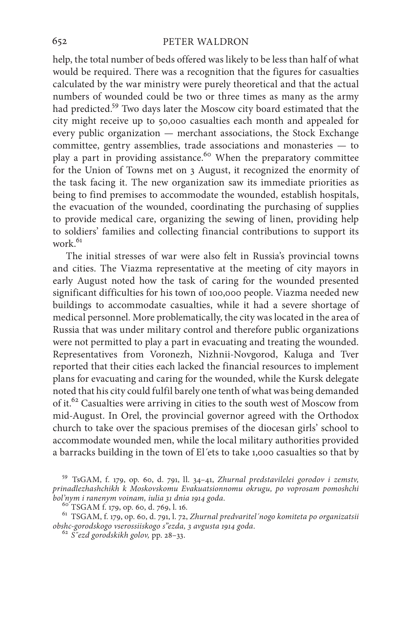help, the total number of beds offered was likely to be less than half of what would be required. There was a recognition that the figures for casualties calculated by the war ministry were purely theoretical and that the actual numbers of wounded could be two or three times as many as the army had predicted.59 Two days later the Moscow city board estimated that the city might receive up to 50,000 casualties each month and appealed for every public organization — merchant associations, the Stock Exchange committee, gentry assemblies, trade associations and monasteries — to play a part in providing assistance.<sup>60</sup> When the preparatory committee for the Union of Towns met on 3 August, it recognized the enormity of the task facing it. The new organization saw its immediate priorities as being to find premises to accommodate the wounded, establish hospitals, the evacuation of the wounded, coordinating the purchasing of supplies to provide medical care, organizing the sewing of linen, providing help to soldiers' families and collecting financial contributions to support its work $61$ 

The initial stresses of war were also felt in Russia's provincial towns and cities. The Viazma representative at the meeting of city mayors in early August noted how the task of caring for the wounded presented significant difficulties for his town of 100,000 people. Viazma needed new buildings to accommodate casualties, while it had a severe shortage of medical personnel. More problematically, the city was located in the area of Russia that was under military control and therefore public organizations were not permitted to play a part in evacuating and treating the wounded. Representatives from Voronezh, Nizhnii-Novgorod, Kaluga and Tver reported that their cities each lacked the financial resources to implement plans for evacuating and caring for the wounded, while the Kursk delegate noted that his city could fulfil barely one tenth of what was being demanded of it.<sup>62</sup> Casualties were arriving in cities to the south west of Moscow from mid-August. In Orel, the provincial governor agreed with the Orthodox church to take over the spacious premises of the diocesan girls' school to accommodate wounded men, while the local military authorities provided a barracks building in the town of El´ets to take 1,000 casualties so that by

<sup>59</sup> TsGAM, f. 179, op. 60, d. 791, ll. 34–41, *Zhurnal predstavilelei gorodov i zemstv, prinadlezhashchikh k Moskovskomu Evakuatsionnomu okrugu, po voprosam pomoshchi* 

*bol'nym i ranenym voinam, iulia 31 dnia 1914 goda*. <sup>60</sup> TSGAM f. 179, op. 60, d. 769, l. 16. <sup>61</sup> TSGAM, f. 179, op. 60, d. 791, l. 72, *Zhurnal predvaritel´nogo komiteta po organizatsii* 

*obshc-gorodskogo vserossiiskogo s"ezda, 3 avgusta 1914 goda*. <sup>62</sup> *S˝ezd gorodskikh golov,* pp. 28–33.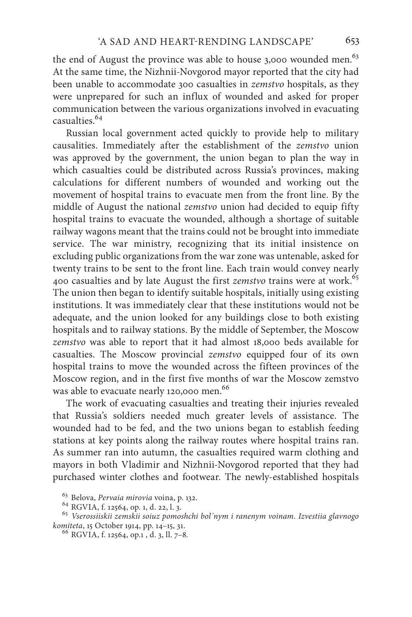the end of August the province was able to house 3,000 wounded men.<sup>63</sup> At the same time, the Nizhnii-Novgorod mayor reported that the city had been unable to accommodate 300 casualties in *zemstvo* hospitals, as they were unprepared for such an influx of wounded and asked for proper communication between the various organizations involved in evacuating casualties.64

Russian local government acted quickly to provide help to military causalities. Immediately after the establishment of the *zemstvo* union was approved by the government, the union began to plan the way in which casualties could be distributed across Russia's provinces, making calculations for different numbers of wounded and working out the movement of hospital trains to evacuate men from the front line. By the middle of August the national *zemstvo* union had decided to equip fifty hospital trains to evacuate the wounded, although a shortage of suitable railway wagons meant that the trains could not be brought into immediate service. The war ministry, recognizing that its initial insistence on excluding public organizations from the war zone was untenable, asked for twenty trains to be sent to the front line. Each train would convey nearly 400 casualties and by late August the first *zemstvo* trains were at work.<sup>65</sup> The union then began to identify suitable hospitals, initially using existing institutions. It was immediately clear that these institutions would not be adequate, and the union looked for any buildings close to both existing hospitals and to railway stations. By the middle of September, the Moscow *zemstvo* was able to report that it had almost 18,000 beds available for casualties. The Moscow provincial *zemstvo* equipped four of its own hospital trains to move the wounded across the fifteen provinces of the Moscow region, and in the first five months of war the Moscow zemstvo was able to evacuate nearly 120,000 men.<sup>66</sup>

The work of evacuating casualties and treating their injuries revealed that Russia's soldiers needed much greater levels of assistance. The wounded had to be fed, and the two unions began to establish feeding stations at key points along the railway routes where hospital trains ran. As summer ran into autumn, the casualties required warm clothing and mayors in both Vladimir and Nizhnii-Novgorod reported that they had purchased winter clothes and footwear. The newly-established hospitals

<sup>&</sup>lt;sup>63</sup> Belova, *Pervaia mirovia* voina, p. 132.<br><sup>64</sup> RGVIA, f. 12564, op. 1, d. 22, l. 3.<br><sup>65</sup> *Vserossiiskii zemskii soiuz pomoshchi bol´nym i ranenym voinam. Izvestiia glavnogo*<br>*komiteta*, 15 October 1914, pp. 14–15, 31.

<sup>&</sup>lt;sup>66</sup> RGVIA, f. 12564, op.1, d. 3, ll. 7-8.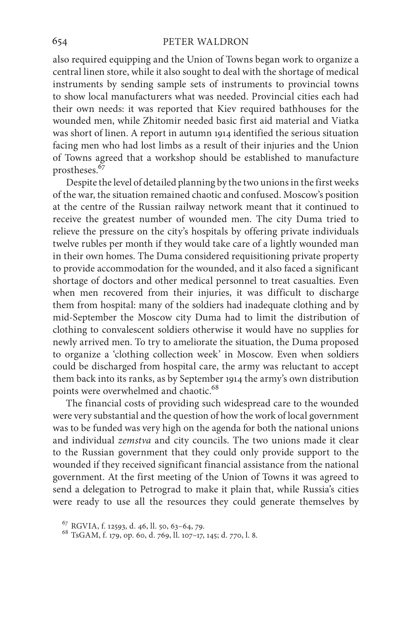also required equipping and the Union of Towns began work to organize a central linen store, while it also sought to deal with the shortage of medical instruments by sending sample sets of instruments to provincial towns to show local manufacturers what was needed. Provincial cities each had their own needs: it was reported that Kiev required bathhouses for the wounded men, while Zhitomir needed basic first aid material and Viatka was short of linen. A report in autumn 1914 identified the serious situation facing men who had lost limbs as a result of their injuries and the Union of Towns agreed that a workshop should be established to manufacture prostheses.<sup>67</sup>

Despite the level of detailed planning by the two unions in the first weeks of the war, the situation remained chaotic and confused. Moscow's position at the centre of the Russian railway network meant that it continued to receive the greatest number of wounded men. The city Duma tried to relieve the pressure on the city's hospitals by offering private individuals twelve rubles per month if they would take care of a lightly wounded man in their own homes. The Duma considered requisitioning private property to provide accommodation for the wounded, and it also faced a significant shortage of doctors and other medical personnel to treat casualties. Even when men recovered from their injuries, it was difficult to discharge them from hospital: many of the soldiers had inadequate clothing and by mid-September the Moscow city Duma had to limit the distribution of clothing to convalescent soldiers otherwise it would have no supplies for newly arrived men. To try to ameliorate the situation, the Duma proposed to organize a 'clothing collection week' in Moscow. Even when soldiers could be discharged from hospital care, the army was reluctant to accept them back into its ranks, as by September 1914 the army's own distribution points were overwhelmed and chaotic.<sup>68</sup>

The financial costs of providing such widespread care to the wounded were very substantial and the question of how the work of local government was to be funded was very high on the agenda for both the national unions and individual *zemstva* and city councils. The two unions made it clear to the Russian government that they could only provide support to the wounded if they received significant financial assistance from the national government. At the first meeting of the Union of Towns it was agreed to send a delegation to Petrograd to make it plain that, while Russia's cities were ready to use all the resources they could generate themselves by

<sup>&</sup>lt;sup>67</sup> RGVIA, f. 12593, d. 46, ll. 50, 63–64, 79.<br><sup>68</sup> TsGAM, f. 179, op. 60, d. 769, ll. 107–17, 145; d. 770, l. 8.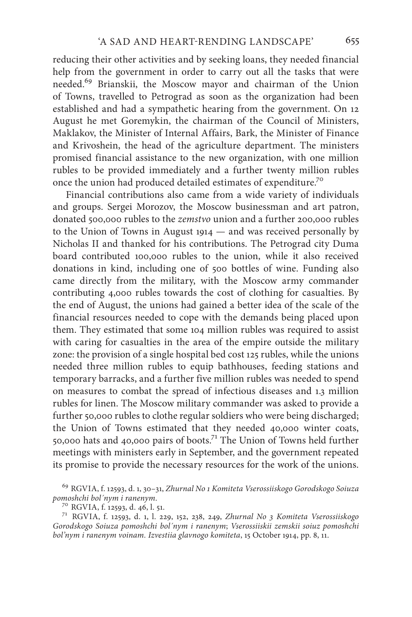reducing their other activities and by seeking loans, they needed financial help from the government in order to carry out all the tasks that were needed.69 Brianskii, the Moscow mayor and chairman of the Union of Towns, travelled to Petrograd as soon as the organization had been established and had a sympathetic hearing from the government. On 12 August he met Goremykin, the chairman of the Council of Ministers, Maklakov, the Minister of Internal Affairs, Bark, the Minister of Finance and Krivoshein, the head of the agriculture department. The ministers promised financial assistance to the new organization, with one million rubles to be provided immediately and a further twenty million rubles once the union had produced detailed estimates of expenditure.70

Financial contributions also came from a wide variety of individuals and groups. Sergei Morozov, the Moscow businessman and art patron, donated 500,000 rubles to the *zemstvo* union and a further 200,000 rubles to the Union of Towns in August 1914 — and was received personally by Nicholas II and thanked for his contributions. The Petrograd city Duma board contributed 100,000 rubles to the union, while it also received donations in kind, including one of 500 bottles of wine. Funding also came directly from the military, with the Moscow army commander contributing 4,000 rubles towards the cost of clothing for casualties. By the end of August, the unions had gained a better idea of the scale of the financial resources needed to cope with the demands being placed upon them. They estimated that some 104 million rubles was required to assist with caring for casualties in the area of the empire outside the military zone: the provision of a single hospital bed cost 125 rubles, while the unions needed three million rubles to equip bathhouses, feeding stations and temporary barracks, and a further five million rubles was needed to spend on measures to combat the spread of infectious diseases and 1.3 million rubles for linen. The Moscow military commander was asked to provide a further 50,000 rubles to clothe regular soldiers who were being discharged; the Union of Towns estimated that they needed 40,000 winter coats, 50,000 hats and 40,000 pairs of boots.<sup>71</sup> The Union of Towns held further meetings with ministers early in September, and the government repeated its promise to provide the necessary resources for the work of the unions.

<sup>69</sup> RGVIA, f. 12593, d. 1, 30–31, *Zhurnal No 1 Komiteta Vserossiiskogo Gorodskogo Soiuza* 

*pomoshchi bol´nym i ranenym*. <sup>70</sup> RGVIA, f. 12593, d. 46, l. 51. <sup>71</sup> RGVIA, f. 12593, d. 1, l. 229, 152, 238, 249, *Zhurnal No 3 Komiteta Vserossiiskogo Gorodskogo Soiuza pomoshchi bol´nym i ranenym*; *Vserossiiskii zemskii soiuz pomoshchi bol'nym i ranenym voinam. Izvestiia glavnogo komiteta*, 15 October 1914, pp. 8, 11.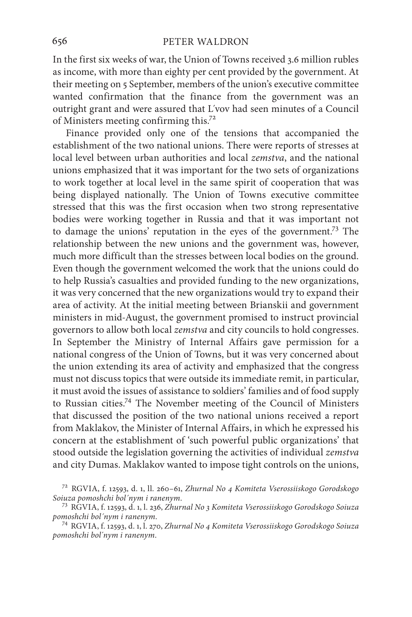In the first six weeks of war, the Union of Towns received 3.6 million rubles as income, with more than eighty per cent provided by the government. At their meeting on 5 September, members of the union's executive committee wanted confirmation that the finance from the government was an outright grant and were assured that L´vov had seen minutes of a Council of Ministers meeting confirming this.72

Finance provided only one of the tensions that accompanied the establishment of the two national unions. There were reports of stresses at local level between urban authorities and local *zemstva*, and the national unions emphasized that it was important for the two sets of organizations to work together at local level in the same spirit of cooperation that was being displayed nationally. The Union of Towns executive committee stressed that this was the first occasion when two strong representative bodies were working together in Russia and that it was important not to damage the unions' reputation in the eyes of the government.73 The relationship between the new unions and the government was, however, much more difficult than the stresses between local bodies on the ground. Even though the government welcomed the work that the unions could do to help Russia's casualties and provided funding to the new organizations, it was very concerned that the new organizations would try to expand their area of activity. At the initial meeting between Brianskii and government ministers in mid-August, the government promised to instruct provincial governors to allow both local *zemstva* and city councils to hold congresses. In September the Ministry of Internal Affairs gave permission for a national congress of the Union of Towns, but it was very concerned about the union extending its area of activity and emphasized that the congress must not discuss topics that were outside its immediate remit, in particular, it must avoid the issues of assistance to soldiers' families and of food supply to Russian cities.74 The November meeting of the Council of Ministers that discussed the position of the two national unions received a report from Maklakov, the Minister of Internal Affairs, in which he expressed his concern at the establishment of 'such powerful public organizations' that stood outside the legislation governing the activities of individual *zemstva* and city Dumas. Maklakov wanted to impose tight controls on the unions,

<sup>72</sup> RGVIA, f. 12593, d. 1, ll. 260–61, *Zhurnal No 4 Komiteta Vserossiiskogo Gorodskogo* 

*Soiuza pomoshchi bol´nym i ranenym*. 73 RGVIA, f. 12593, d. 1, l. 236, *Zhurnal No 3 Komiteta Vserossiiskogo Gorodskogo Soiuza pomoshchi bol´nym i ranenym*. <sup>74</sup> RGVIA, f. 12593, d. 1, l. 270, *Zhurnal No 4 Komiteta Vserossiiskogo Gorodskogo Soiuza* 

*pomoshchi bol*´*nym i ranenym*.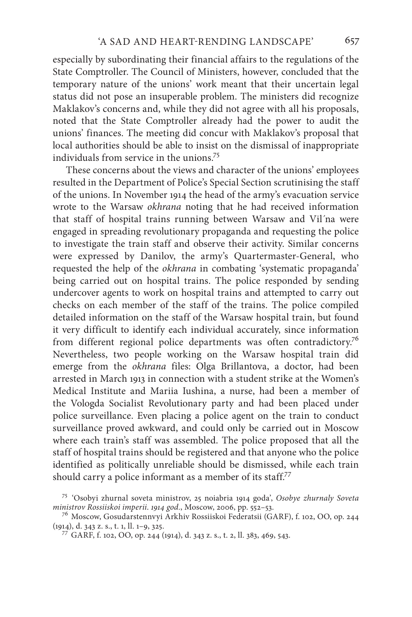especially by subordinating their financial affairs to the regulations of the State Comptroller. The Council of Ministers, however, concluded that the temporary nature of the unions' work meant that their uncertain legal status did not pose an insuperable problem. The ministers did recognize Maklakov's concerns and, while they did not agree with all his proposals, noted that the State Comptroller already had the power to audit the unions' finances. The meeting did concur with Maklakov's proposal that local authorities should be able to insist on the dismissal of inappropriate individuals from service in the unions.75

These concerns about the views and character of the unions' employees resulted in the Department of Police's Special Section scrutinising the staff of the unions. In November 1914 the head of the army's evacuation service wrote to the Warsaw *okhrana* noting that he had received information that staff of hospital trains running between Warsaw and Vil´na were engaged in spreading revolutionary propaganda and requesting the police to investigate the train staff and observe their activity. Similar concerns were expressed by Danilov, the army's Quartermaster-General, who requested the help of the *okhrana* in combating 'systematic propaganda' being carried out on hospital trains. The police responded by sending undercover agents to work on hospital trains and attempted to carry out checks on each member of the staff of the trains. The police compiled detailed information on the staff of the Warsaw hospital train, but found it very difficult to identify each individual accurately, since information from different regional police departments was often contradictory.<sup>76</sup> Nevertheless, two people working on the Warsaw hospital train did emerge from the *okhrana* files: Olga Brillantova, a doctor, had been arrested in March 1913 in connection with a student strike at the Women's Medical Institute and Mariia Iushina, a nurse, had been a member of the Vologda Socialist Revolutionary party and had been placed under police surveillance. Even placing a police agent on the train to conduct surveillance proved awkward, and could only be carried out in Moscow where each train's staff was assembled. The police proposed that all the staff of hospital trains should be registered and that anyone who the police identified as politically unreliable should be dismissed, while each train should carry a police informant as a member of its staff.<sup>77</sup>

<sup>75</sup> 'Osobyi zhurnal soveta ministrov, 25 noiabria 1914 goda', *Osobye zhurnaly Soveta* 

*ministrov Rossiiskoi imperii. 1914 god.*, Moscow, 2006, pp. 552–53.<br><sup>76</sup> Moscow, Gosudarstennvyi Arkhiv Rossiiskoi Federatsii (GARF), f. 102, OO, op. 244<br>(1914), d. 343 z. s., t. 1, ll. 1–9, 325.

<sup>&</sup>lt;sup>77</sup> GARF, f. 102, OO, op. 244 (1914), d. 343 z. s., t. 2, ll. 383, 469, 543.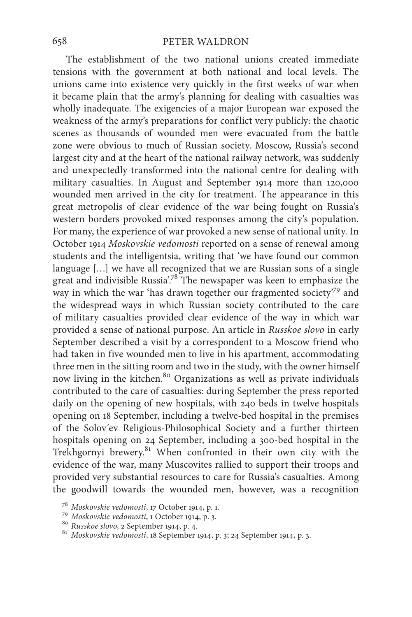The establishment of the two national unions created immediate tensions with the government at both national and local levels. The unions came into existence very quickly in the first weeks of war when it became plain that the army's planning for dealing with casualties was wholly inadequate. The exigencies of a major European war exposed the weakness of the army's preparations for conflict very publicly: the chaotic scenes as thousands of wounded men were evacuated from the battle zone were obvious to much of Russian society. Moscow, Russia's second largest city and at the heart of the national railway network, was suddenly and unexpectedly transformed into the national centre for dealing with military casualties. In August and September 1914 more than 120,000 wounded men arrived in the city for treatment. The appearance in this great metropolis of clear evidence of the war being fought on Russia's western borders provoked mixed responses among the city's population. For many, the experience of war provoked a new sense of national unity. In October 1914 *Moskovskie vedomosti* reported on a sense of renewal among students and the intelligentsia, writing that 'we have found our common language […] we have all recognized that we are Russian sons of a single great and indivisible Russia<sup>',78</sup> The newspaper was keen to emphasize the way in which the war 'has drawn together our fragmented society'<sup>79</sup> and the widespread ways in which Russian society contributed to the care of military casualties provided clear evidence of the way in which war provided a sense of national purpose. An article in *Russkoe slovo* in early September described a visit by a correspondent to a Moscow friend who had taken in five wounded men to live in his apartment, accommodating three men in the sitting room and two in the study, with the owner himself now living in the kitchen.<sup>80</sup> Organizations as well as private individuals contributed to the care of casualties: during September the press reported daily on the opening of new hospitals, with 240 beds in twelve hospitals opening on 18 September, including a twelve-bed hospital in the premises of the Solov´ev Religious-Philosophical Society and a further thirteen hospitals opening on 24 September, including a 300-bed hospital in the Trekhgornyi brewery.81 When confronted in their own city with the evidence of the war, many Muscovites rallied to support their troops and provided very substantial resources to care for Russia's casualties. Among the goodwill towards the wounded men, however, was a recognition

<sup>&</sup>lt;sup>78</sup> Moskovskie vedomosti, 17 October 1914, p. 1.<br><sup>79</sup> Moskovskie vedomosti, 1 October 1914, p. 3.<br><sup>80</sup> Russkoe slovo, 2 September 1914, p. 4.<br><sup>81</sup> Moskovskie vedomosti, 18 September 1914, p. 3; 24 September 1914, p. 3.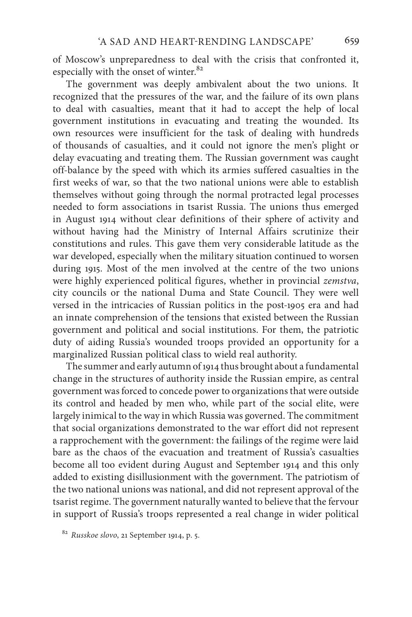of Moscow's unpreparedness to deal with the crisis that confronted it, especially with the onset of winter.<sup>82</sup>

The government was deeply ambivalent about the two unions. It recognized that the pressures of the war, and the failure of its own plans to deal with casualties, meant that it had to accept the help of local government institutions in evacuating and treating the wounded. Its own resources were insufficient for the task of dealing with hundreds of thousands of casualties, and it could not ignore the men's plight or delay evacuating and treating them. The Russian government was caught off-balance by the speed with which its armies suffered casualties in the first weeks of war, so that the two national unions were able to establish themselves without going through the normal protracted legal processes needed to form associations in tsarist Russia. The unions thus emerged in August 1914 without clear definitions of their sphere of activity and without having had the Ministry of Internal Affairs scrutinize their constitutions and rules. This gave them very considerable latitude as the war developed, especially when the military situation continued to worsen during 1915. Most of the men involved at the centre of the two unions were highly experienced political figures, whether in provincial *zemstva*, city councils or the national Duma and State Council. They were well versed in the intricacies of Russian politics in the post-1905 era and had an innate comprehension of the tensions that existed between the Russian government and political and social institutions. For them, the patriotic duty of aiding Russia's wounded troops provided an opportunity for a marginalized Russian political class to wield real authority.

The summer and early autumn of 1914 thus brought about a fundamental change in the structures of authority inside the Russian empire, as central government was forced to concede power to organizations that were outside its control and headed by men who, while part of the social elite, were largely inimical to the way in which Russia was governed. The commitment that social organizations demonstrated to the war effort did not represent a rapprochement with the government: the failings of the regime were laid bare as the chaos of the evacuation and treatment of Russia's casualties become all too evident during August and September 1914 and this only added to existing disillusionment with the government. The patriotism of the two national unions was national, and did not represent approval of the tsarist regime. The government naturally wanted to believe that the fervour in support of Russia's troops represented a real change in wider political

<sup>82</sup> *Russkoe slovo*, 21 September 1914, p. 5.